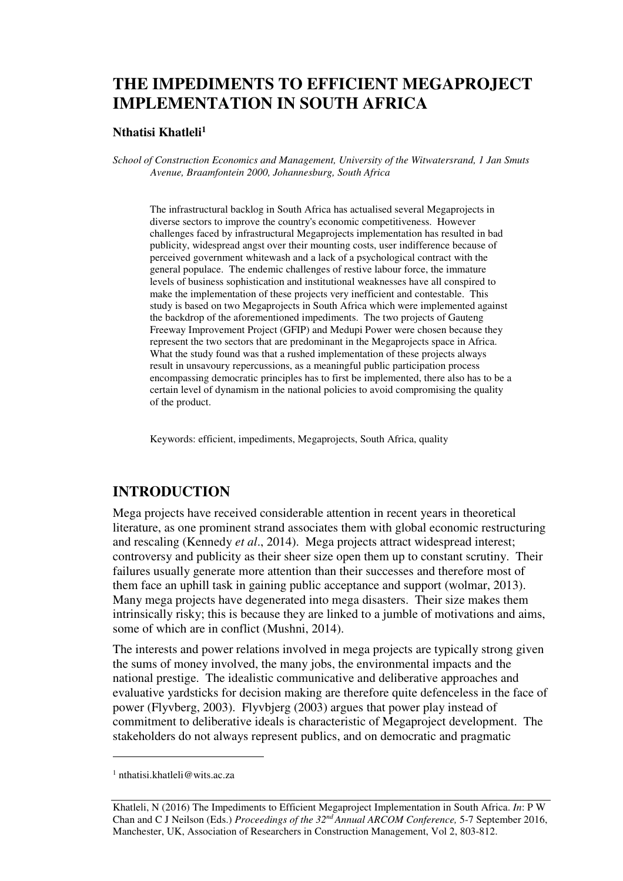# **THE IMPEDIMENTS TO EFFICIENT MEGAPROJECT IMPLEMENTATION IN SOUTH AFRICA**

#### **Nthatisi Khatleli<sup>1</sup>**

*School of Construction Economics and Management, University of the Witwatersrand, 1 Jan Smuts Avenue, Braamfontein 2000, Johannesburg, South Africa* 

The infrastructural backlog in South Africa has actualised several Megaprojects in diverse sectors to improve the country's economic competitiveness. However challenges faced by infrastructural Megaprojects implementation has resulted in bad publicity, widespread angst over their mounting costs, user indifference because of perceived government whitewash and a lack of a psychological contract with the general populace. The endemic challenges of restive labour force, the immature levels of business sophistication and institutional weaknesses have all conspired to make the implementation of these projects very inefficient and contestable. This study is based on two Megaprojects in South Africa which were implemented against the backdrop of the aforementioned impediments. The two projects of Gauteng Freeway Improvement Project (GFIP) and Medupi Power were chosen because they represent the two sectors that are predominant in the Megaprojects space in Africa. What the study found was that a rushed implementation of these projects always result in unsavoury repercussions, as a meaningful public participation process encompassing democratic principles has to first be implemented, there also has to be a certain level of dynamism in the national policies to avoid compromising the quality of the product.

Keywords: efficient, impediments, Megaprojects, South Africa, quality

### **INTRODUCTION**

Mega projects have received considerable attention in recent years in theoretical literature, as one prominent strand associates them with global economic restructuring and rescaling (Kennedy *et al*., 2014). Mega projects attract widespread interest; controversy and publicity as their sheer size open them up to constant scrutiny. Their failures usually generate more attention than their successes and therefore most of them face an uphill task in gaining public acceptance and support (wolmar, 2013). Many mega projects have degenerated into mega disasters. Their size makes them intrinsically risky; this is because they are linked to a jumble of motivations and aims, some of which are in conflict (Mushni, 2014).

The interests and power relations involved in mega projects are typically strong given the sums of money involved, the many jobs, the environmental impacts and the national prestige. The idealistic communicative and deliberative approaches and evaluative yardsticks for decision making are therefore quite defenceless in the face of power (Flyvberg, 2003). Flyvbjerg (2003) argues that power play instead of commitment to deliberative ideals is characteristic of Megaproject development. The stakeholders do not always represent publics, and on democratic and pragmatic

 $\overline{a}$ 

<sup>1</sup> nthatisi.khatleli@wits.ac.za

Khatleli, N (2016) The Impediments to Efficient Megaproject Implementation in South Africa. *In*: P W Chan and C J Neilson (Eds.) *Proceedings of the 32nd Annual ARCOM Conference,* 5-7 September 2016, Manchester, UK, Association of Researchers in Construction Management, Vol 2, 803-812.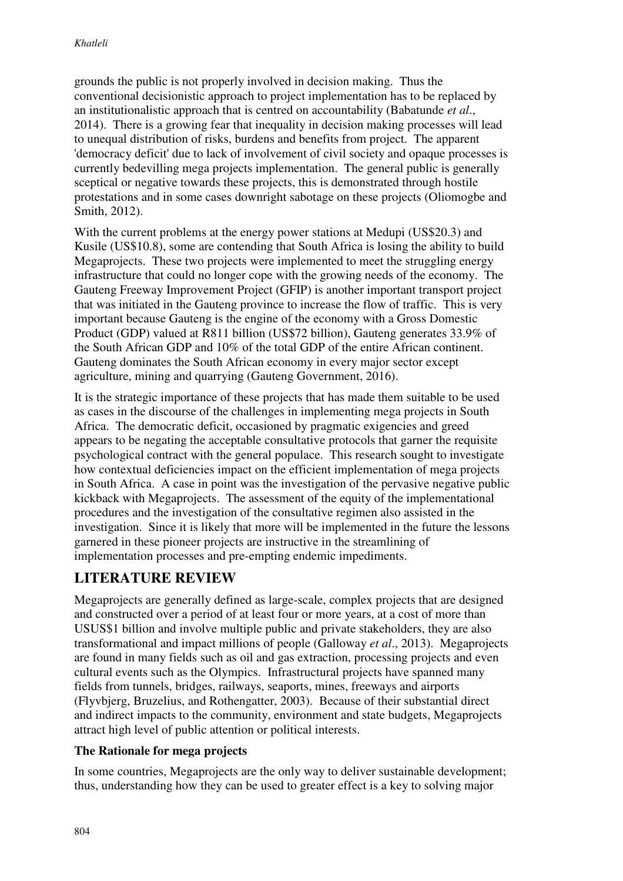grounds the public is not properly involved in decision making. Thus the conventional decisionistic approach to project implementation has to be replaced by an institutionalistic approach that is centred on accountability (Babatunde *et al*., 2014). There is a growing fear that inequality in decision making processes will lead to unequal distribution of risks, burdens and benefits from project. The apparent 'democracy deficit' due to lack of involvement of civil society and opaque processes is currently bedevilling mega projects implementation. The general public is generally sceptical or negative towards these projects, this is demonstrated through hostile protestations and in some cases downright sabotage on these projects (Oliomogbe and Smith, 2012).

With the current problems at the energy power stations at Medupi (US\$20.3) and Kusile (US\$10.8), some are contending that South Africa is losing the ability to build Megaprojects. These two projects were implemented to meet the struggling energy infrastructure that could no longer cope with the growing needs of the economy. The Gauteng Freeway Improvement Project (GFIP) is another important transport project that was initiated in the Gauteng province to increase the flow of traffic. This is very important because Gauteng is the engine of the economy with a Gross Domestic Product (GDP) valued at R811 billion (US\$72 billion), Gauteng generates 33.9% of the South African GDP and 10% of the total GDP of the entire African continent. Gauteng dominates the South African economy in every major sector except agriculture, mining and quarrying (Gauteng Government, 2016).

It is the strategic importance of these projects that has made them suitable to be used as cases in the discourse of the challenges in implementing mega projects in South Africa. The democratic deficit, occasioned by pragmatic exigencies and greed appears to be negating the acceptable consultative protocols that garner the requisite psychological contract with the general populace. This research sought to investigate how contextual deficiencies impact on the efficient implementation of mega projects in South Africa. A case in point was the investigation of the pervasive negative public kickback with Megaprojects. The assessment of the equity of the implementational procedures and the investigation of the consultative regimen also assisted in the investigation. Since it is likely that more will be implemented in the future the lessons garnered in these pioneer projects are instructive in the streamlining of implementation processes and pre-empting endemic impediments.

## **LITERATURE REVIEW**

Megaprojects are generally defined as large-scale, complex projects that are designed and constructed over a period of at least four or more years, at a cost of more than USUS\$1 billion and involve multiple public and private stakeholders, they are also transformational and impact millions of people (Galloway *et al*., 2013). Megaprojects are found in many fields such as oil and gas extraction, processing projects and even cultural events such as the Olympics. Infrastructural projects have spanned many fields from tunnels, bridges, railways, seaports, mines, freeways and airports (Flyvbjerg, Bruzelius, and Rothengatter, 2003). Because of their substantial direct and indirect impacts to the community, environment and state budgets, Megaprojects attract high level of public attention or political interests.

### **The Rationale for mega projects**

In some countries, Megaprojects are the only way to deliver sustainable development; thus, understanding how they can be used to greater effect is a key to solving major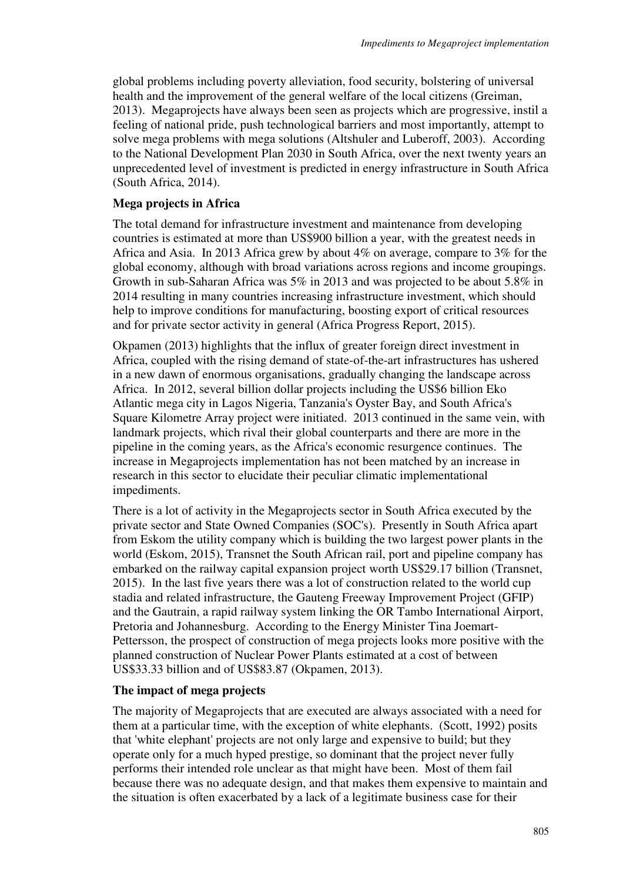global problems including poverty alleviation, food security, bolstering of universal health and the improvement of the general welfare of the local citizens (Greiman, 2013). Megaprojects have always been seen as projects which are progressive, instil a feeling of national pride, push technological barriers and most importantly, attempt to solve mega problems with mega solutions (Altshuler and Luberoff, 2003). According to the National Development Plan 2030 in South Africa, over the next twenty years an unprecedented level of investment is predicted in energy infrastructure in South Africa (South Africa, 2014).

#### **Mega projects in Africa**

The total demand for infrastructure investment and maintenance from developing countries is estimated at more than US\$900 billion a year, with the greatest needs in Africa and Asia. In 2013 Africa grew by about 4% on average, compare to 3% for the global economy, although with broad variations across regions and income groupings. Growth in sub-Saharan Africa was 5% in 2013 and was projected to be about 5.8% in 2014 resulting in many countries increasing infrastructure investment, which should help to improve conditions for manufacturing, boosting export of critical resources and for private sector activity in general (Africa Progress Report, 2015).

Okpamen (2013) highlights that the influx of greater foreign direct investment in Africa, coupled with the rising demand of state-of-the-art infrastructures has ushered in a new dawn of enormous organisations, gradually changing the landscape across Africa. In 2012, several billion dollar projects including the US\$6 billion Eko Atlantic mega city in Lagos Nigeria, Tanzania's Oyster Bay, and South Africa's Square Kilometre Array project were initiated. 2013 continued in the same vein, with landmark projects, which rival their global counterparts and there are more in the pipeline in the coming years, as the Africa's economic resurgence continues. The increase in Megaprojects implementation has not been matched by an increase in research in this sector to elucidate their peculiar climatic implementational impediments.

There is a lot of activity in the Megaprojects sector in South Africa executed by the private sector and State Owned Companies (SOC's). Presently in South Africa apart from Eskom the utility company which is building the two largest power plants in the world (Eskom, 2015), Transnet the South African rail, port and pipeline company has embarked on the railway capital expansion project worth US\$29.17 billion (Transnet, 2015). In the last five years there was a lot of construction related to the world cup stadia and related infrastructure, the Gauteng Freeway Improvement Project (GFIP) and the Gautrain, a rapid railway system linking the OR Tambo International Airport, Pretoria and Johannesburg. According to the Energy Minister Tina Joemart-Pettersson, the prospect of construction of mega projects looks more positive with the planned construction of Nuclear Power Plants estimated at a cost of between US\$33.33 billion and of US\$83.87 (Okpamen, 2013).

#### **The impact of mega projects**

The majority of Megaprojects that are executed are always associated with a need for them at a particular time, with the exception of white elephants. (Scott, 1992) posits that 'white elephant' projects are not only large and expensive to build; but they operate only for a much hyped prestige, so dominant that the project never fully performs their intended role unclear as that might have been. Most of them fail because there was no adequate design, and that makes them expensive to maintain and the situation is often exacerbated by a lack of a legitimate business case for their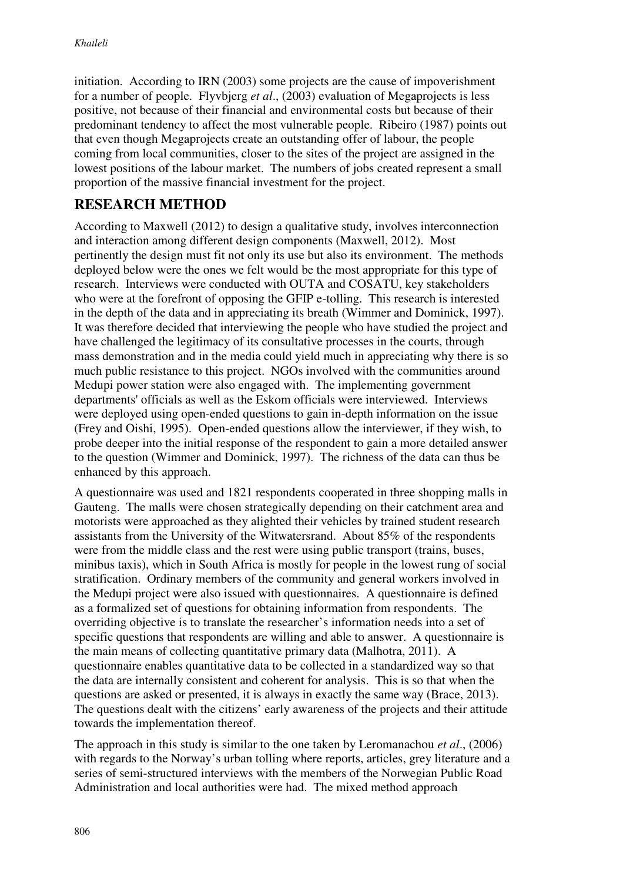initiation. According to IRN (2003) some projects are the cause of impoverishment for a number of people. Flyvbjerg *et al*., (2003) evaluation of Megaprojects is less positive, not because of their financial and environmental costs but because of their predominant tendency to affect the most vulnerable people. Ribeiro (1987) points out that even though Megaprojects create an outstanding offer of labour, the people coming from local communities, closer to the sites of the project are assigned in the lowest positions of the labour market. The numbers of jobs created represent a small proportion of the massive financial investment for the project.

## **RESEARCH METHOD**

According to Maxwell (2012) to design a qualitative study, involves interconnection and interaction among different design components (Maxwell, 2012). Most pertinently the design must fit not only its use but also its environment. The methods deployed below were the ones we felt would be the most appropriate for this type of research. Interviews were conducted with OUTA and COSATU, key stakeholders who were at the forefront of opposing the GFIP e-tolling. This research is interested in the depth of the data and in appreciating its breath (Wimmer and Dominick, 1997). It was therefore decided that interviewing the people who have studied the project and have challenged the legitimacy of its consultative processes in the courts, through mass demonstration and in the media could yield much in appreciating why there is so much public resistance to this project. NGOs involved with the communities around Medupi power station were also engaged with. The implementing government departments' officials as well as the Eskom officials were interviewed. Interviews were deployed using open-ended questions to gain in-depth information on the issue (Frey and Oishi, 1995). Open-ended questions allow the interviewer, if they wish, to probe deeper into the initial response of the respondent to gain a more detailed answer to the question (Wimmer and Dominick, 1997). The richness of the data can thus be enhanced by this approach.

A questionnaire was used and 1821 respondents cooperated in three shopping malls in Gauteng. The malls were chosen strategically depending on their catchment area and motorists were approached as they alighted their vehicles by trained student research assistants from the University of the Witwatersrand. About 85% of the respondents were from the middle class and the rest were using public transport (trains, buses, minibus taxis), which in South Africa is mostly for people in the lowest rung of social stratification. Ordinary members of the community and general workers involved in the Medupi project were also issued with questionnaires. A questionnaire is defined as a formalized set of questions for obtaining information from respondents. The overriding objective is to translate the researcher's information needs into a set of specific questions that respondents are willing and able to answer. A questionnaire is the main means of collecting quantitative primary data (Malhotra, 2011). A questionnaire enables quantitative data to be collected in a standardized way so that the data are internally consistent and coherent for analysis. This is so that when the questions are asked or presented, it is always in exactly the same way (Brace, 2013). The questions dealt with the citizens' early awareness of the projects and their attitude towards the implementation thereof.

The approach in this study is similar to the one taken by Leromanachou *et al*., (2006) with regards to the Norway's urban tolling where reports, articles, grey literature and a series of semi-structured interviews with the members of the Norwegian Public Road Administration and local authorities were had. The mixed method approach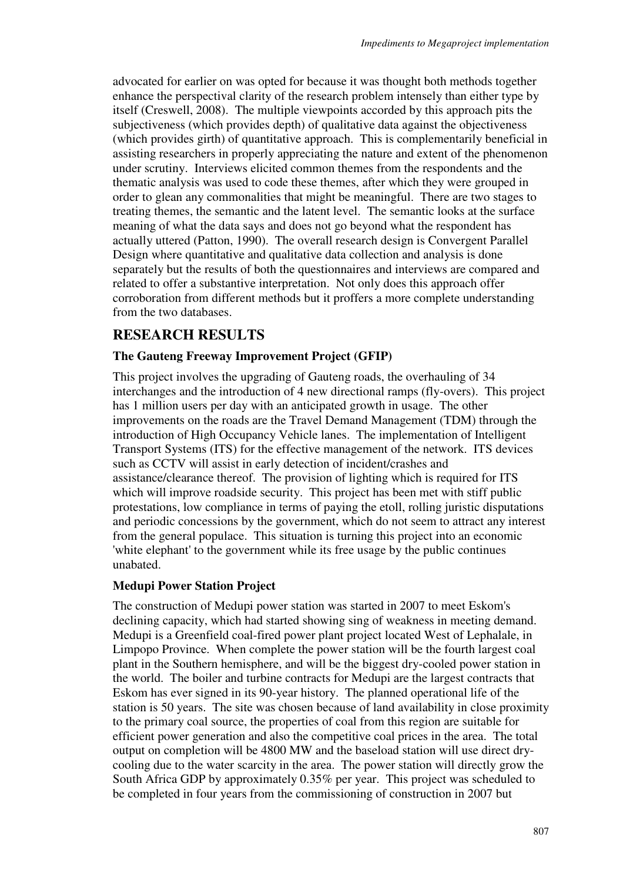advocated for earlier on was opted for because it was thought both methods together enhance the perspectival clarity of the research problem intensely than either type by itself (Creswell, 2008). The multiple viewpoints accorded by this approach pits the subjectiveness (which provides depth) of qualitative data against the objectiveness (which provides girth) of quantitative approach. This is complementarily beneficial in assisting researchers in properly appreciating the nature and extent of the phenomenon under scrutiny. Interviews elicited common themes from the respondents and the thematic analysis was used to code these themes, after which they were grouped in order to glean any commonalities that might be meaningful. There are two stages to treating themes, the semantic and the latent level. The semantic looks at the surface meaning of what the data says and does not go beyond what the respondent has actually uttered (Patton, 1990). The overall research design is Convergent Parallel Design where quantitative and qualitative data collection and analysis is done separately but the results of both the questionnaires and interviews are compared and related to offer a substantive interpretation. Not only does this approach offer corroboration from different methods but it proffers a more complete understanding from the two databases.

## **RESEARCH RESULTS**

### **The Gauteng Freeway Improvement Project (GFIP)**

This project involves the upgrading of Gauteng roads, the overhauling of 34 interchanges and the introduction of 4 new directional ramps (fly-overs). This project has 1 million users per day with an anticipated growth in usage. The other improvements on the roads are the Travel Demand Management (TDM) through the introduction of High Occupancy Vehicle lanes. The implementation of Intelligent Transport Systems (ITS) for the effective management of the network. ITS devices such as CCTV will assist in early detection of incident/crashes and assistance/clearance thereof. The provision of lighting which is required for ITS which will improve roadside security. This project has been met with stiff public protestations, low compliance in terms of paying the etoll, rolling juristic disputations and periodic concessions by the government, which do not seem to attract any interest from the general populace. This situation is turning this project into an economic 'white elephant' to the government while its free usage by the public continues unabated.

### **Medupi Power Station Project**

The construction of Medupi power station was started in 2007 to meet Eskom's declining capacity, which had started showing sing of weakness in meeting demand. Medupi is a Greenfield coal-fired power plant project located West of Lephalale, in Limpopo Province. When complete the power station will be the fourth largest coal plant in the Southern hemisphere, and will be the biggest dry-cooled power station in the world. The boiler and turbine contracts for Medupi are the largest contracts that Eskom has ever signed in its 90-year history. The planned operational life of the station is 50 years. The site was chosen because of land availability in close proximity to the primary coal source, the properties of coal from this region are suitable for efficient power generation and also the competitive coal prices in the area. The total output on completion will be 4800 MW and the baseload station will use direct drycooling due to the water scarcity in the area. The power station will directly grow the South Africa GDP by approximately 0.35% per year. This project was scheduled to be completed in four years from the commissioning of construction in 2007 but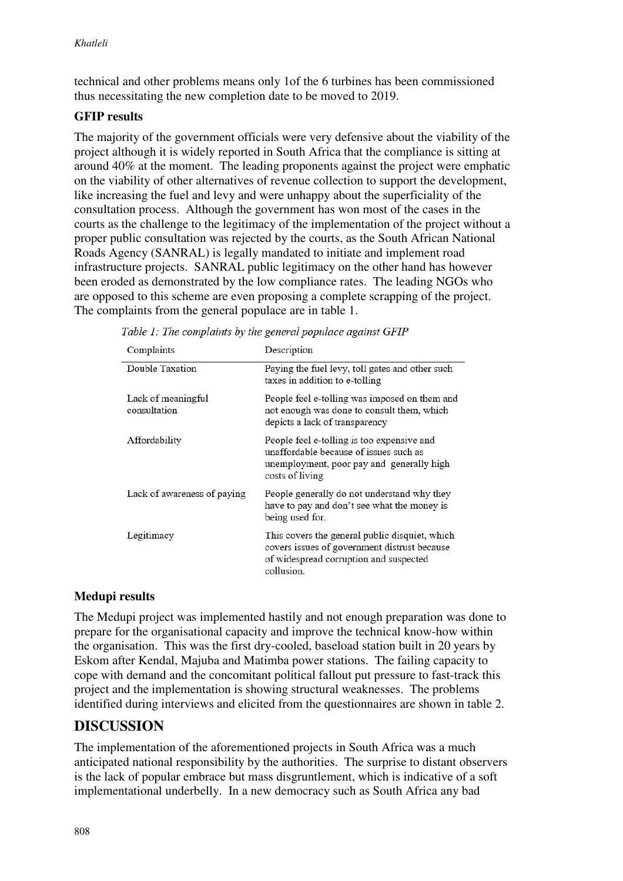technical and other problems means only 1of the 6 turbines has been commissioned thus necessitating the new completion date to be moved to 2019.

### **GFIP results**

The majority of the government officials were very defensive about the viability of the project although it is widely reported in South Africa that the compliance is sitting at around 40% at the moment. The leading proponents against the project were emphatic on the viability of other alternatives of revenue collection to support the development, like increasing the fuel and levy and were unhappy about the superficiality of the consultation process. Although the government has won most of the cases in the courts as the challenge to the legitimacy of the implementation of the project without a proper public consultation was rejected by the courts, as the South African National Roads Agency (SANRAL) is legally mandated to initiate and implement road infrastructure projects. SANRAL public legitimacy on the other hand has however been eroded as demonstrated by the low compliance rates. The leading NGOs who are opposed to this scheme are even proposing a complete scrapping of the project. The complaints from the general populace are in table 1.

| Complaints                         | Description                                                                                                                                            |
|------------------------------------|--------------------------------------------------------------------------------------------------------------------------------------------------------|
| Double Taxation                    | Paying the fuel levy, toll gates and other such<br>taxes in addition to e-tolling                                                                      |
| Lack of meaningful<br>consultation | People feel e-tolling was imposed on them and<br>not enough was done to consult them, which<br>depicts a lack of transparency                          |
| Affordability                      | People feel e-tolling is too expensive and<br>unaffordable because of issues such as<br>unemployment, poor pay and generally high<br>costs of living   |
| Lack of awareness of paying        | People generally do not understand why they<br>have to pay and don't see what the money is<br>being used for.                                          |
| Legitimacy                         | This covers the general public disquiet, which<br>covers issues of government distrust because<br>of widespread corruption and suspected<br>collusion. |

| Table 1: The complaints by the general populace against GFIP |  |  |  |  |  |  |  |  |
|--------------------------------------------------------------|--|--|--|--|--|--|--|--|
|--------------------------------------------------------------|--|--|--|--|--|--|--|--|

### **Medupi results**

The Medupi project was implemented hastily and not enough preparation was done to prepare for the organisational capacity and improve the technical know-how within the organisation. This was the first dry-cooled, baseload station built in 20 years by Eskom after Kendal, Majuba and Matimba power stations. The failing capacity to cope with demand and the concomitant political fallout put pressure to fast-track this project and the implementation is showing structural weaknesses. The problems identified during interviews and elicited from the questionnaires are shown in table 2.

### **DISCUSSION**

The implementation of the aforementioned projects in South Africa was a much anticipated national responsibility by the authorities. The surprise to distant observers is the lack of popular embrace but mass disgruntlement, which is indicative of a soft implementational underbelly. In a new democracy such as South Africa any bad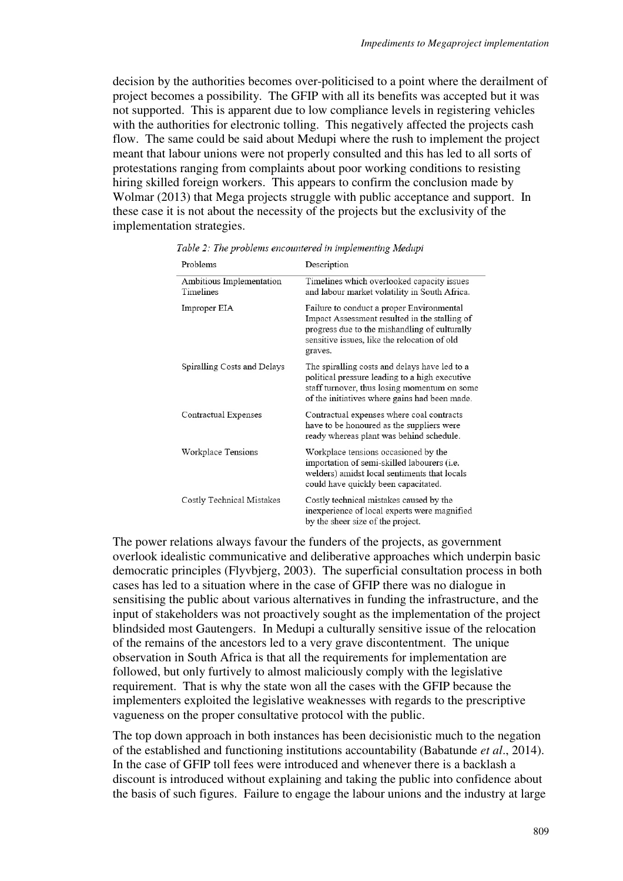decision by the authorities becomes over-politicised to a point where the derailment of project becomes a possibility. The GFIP with all its benefits was accepted but it was not supported. This is apparent due to low compliance levels in registering vehicles with the authorities for electronic tolling. This negatively affected the projects cash flow. The same could be said about Medupi where the rush to implement the project meant that labour unions were not properly consulted and this has led to all sorts of protestations ranging from complaints about poor working conditions to resisting hiring skilled foreign workers. This appears to confirm the conclusion made by Wolmar (2013) that Mega projects struggle with public acceptance and support. In these case it is not about the necessity of the projects but the exclusivity of the implementation strategies.

| Problems                              | Description                                                                                                                                                                                            |
|---------------------------------------|--------------------------------------------------------------------------------------------------------------------------------------------------------------------------------------------------------|
| Ambitious Implementation<br>Timelines | Timelines which overlooked capacity issues<br>and labour market volatility in South Africa.                                                                                                            |
| Improper EIA                          | Failure to conduct a proper Environmental<br>Impact Assessment resulted in the stalling of<br>progress due to the mishandling of culturally<br>sensitive issues, like the relocation of old<br>graves. |
| Spiralling Costs and Delays           | The spiralling costs and delays have led to a<br>political pressure leading to a high executive<br>staff turnover, thus losing momentum on some<br>of the initiatives where gains had been made.       |
| Contractual Expenses                  | Contractual expenses where coal contracts<br>have to be honoured as the suppliers were<br>ready whereas plant was behind schedule.                                                                     |
| Workplace Tensions                    | Workplace tensions occasioned by the<br>importation of semi-skilled labourers (i.e.<br>welders) amidst local sentiments that locals<br>could have quickly been capacitated.                            |
| Costly Technical Mistakes             | Costly technical mistakes caused by the<br>inexperience of local experts were magnified<br>by the sheer size of the project.                                                                           |

Table 2: The problems encountered in implementing Medupi

The power relations always favour the funders of the projects, as government overlook idealistic communicative and deliberative approaches which underpin basic democratic principles (Flyvbjerg, 2003). The superficial consultation process in both cases has led to a situation where in the case of GFIP there was no dialogue in sensitising the public about various alternatives in funding the infrastructure, and the input of stakeholders was not proactively sought as the implementation of the project blindsided most Gautengers. In Medupi a culturally sensitive issue of the relocation of the remains of the ancestors led to a very grave discontentment. The unique observation in South Africa is that all the requirements for implementation are followed, but only furtively to almost maliciously comply with the legislative requirement. That is why the state won all the cases with the GFIP because the implementers exploited the legislative weaknesses with regards to the prescriptive vagueness on the proper consultative protocol with the public.

The top down approach in both instances has been decisionistic much to the negation of the established and functioning institutions accountability (Babatunde *et al*., 2014). In the case of GFIP toll fees were introduced and whenever there is a backlash a discount is introduced without explaining and taking the public into confidence about the basis of such figures. Failure to engage the labour unions and the industry at large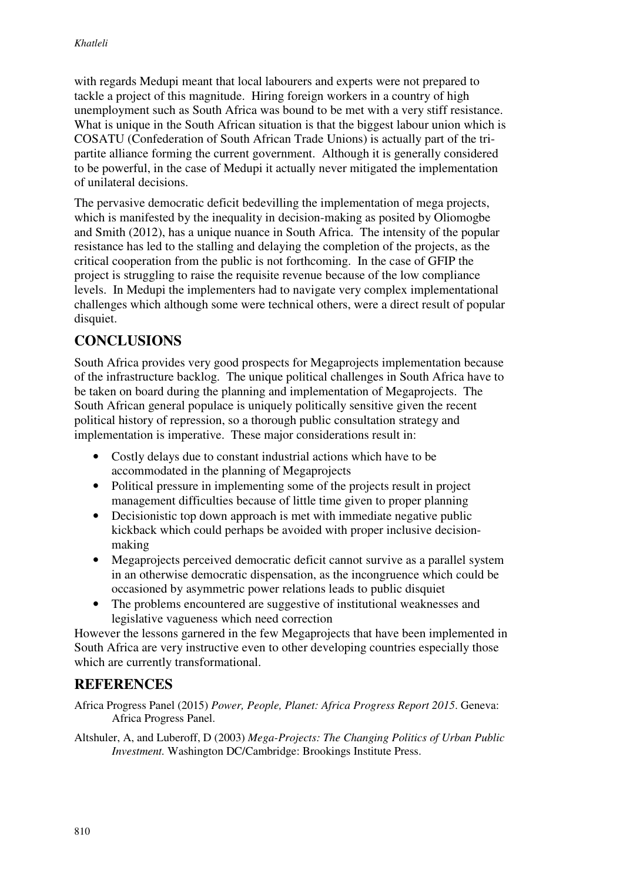with regards Medupi meant that local labourers and experts were not prepared to tackle a project of this magnitude. Hiring foreign workers in a country of high unemployment such as South Africa was bound to be met with a very stiff resistance. What is unique in the South African situation is that the biggest labour union which is COSATU (Confederation of South African Trade Unions) is actually part of the tripartite alliance forming the current government. Although it is generally considered to be powerful, in the case of Medupi it actually never mitigated the implementation of unilateral decisions.

The pervasive democratic deficit bedevilling the implementation of mega projects, which is manifested by the inequality in decision-making as posited by Oliomogbe and Smith (2012), has a unique nuance in South Africa. The intensity of the popular resistance has led to the stalling and delaying the completion of the projects, as the critical cooperation from the public is not forthcoming. In the case of GFIP the project is struggling to raise the requisite revenue because of the low compliance levels. In Medupi the implementers had to navigate very complex implementational challenges which although some were technical others, were a direct result of popular disquiet.

## **CONCLUSIONS**

South Africa provides very good prospects for Megaprojects implementation because of the infrastructure backlog. The unique political challenges in South Africa have to be taken on board during the planning and implementation of Megaprojects. The South African general populace is uniquely politically sensitive given the recent political history of repression, so a thorough public consultation strategy and implementation is imperative. These major considerations result in:

- Costly delays due to constant industrial actions which have to be accommodated in the planning of Megaprojects
- Political pressure in implementing some of the projects result in project management difficulties because of little time given to proper planning
- Decisionistic top down approach is met with immediate negative public kickback which could perhaps be avoided with proper inclusive decisionmaking
- Megaprojects perceived democratic deficit cannot survive as a parallel system in an otherwise democratic dispensation, as the incongruence which could be occasioned by asymmetric power relations leads to public disquiet
- The problems encountered are suggestive of institutional weaknesses and legislative vagueness which need correction

However the lessons garnered in the few Megaprojects that have been implemented in South Africa are very instructive even to other developing countries especially those which are currently transformational.

### **REFERENCES**

Africa Progress Panel (2015) *Power, People, Planet: Africa Progress Report 2015*. Geneva: Africa Progress Panel.

Altshuler, A, and Luberoff, D (2003) *Mega-Projects: The Changing Politics of Urban Public Investment.* Washington DC/Cambridge: Brookings Institute Press.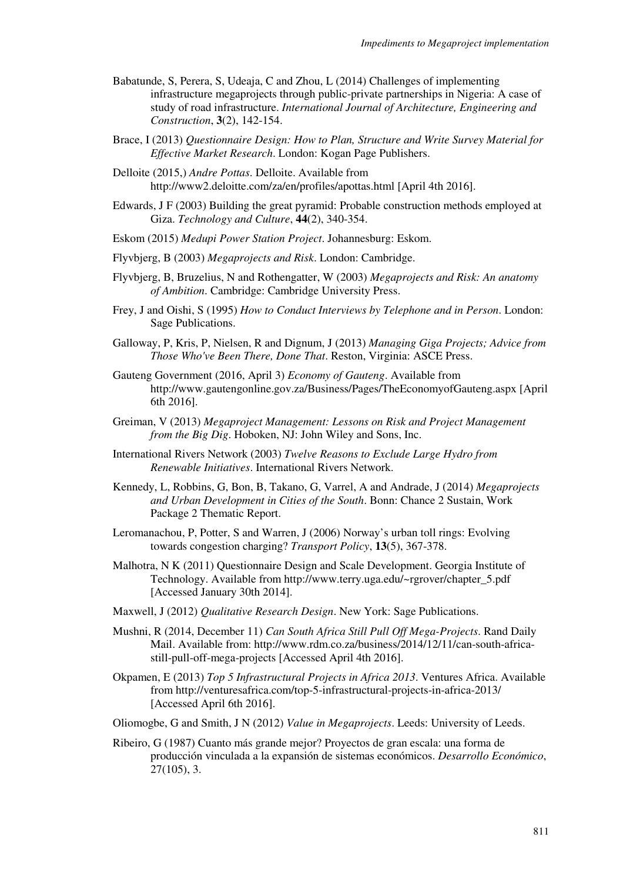- Babatunde, S, Perera, S, Udeaja, C and Zhou, L (2014) Challenges of implementing infrastructure megaprojects through public-private partnerships in Nigeria: A case of study of road infrastructure. *International Journal of Architecture, Engineering and Construction*, **3**(2), 142-154.
- Brace, I (2013) *Questionnaire Design: How to Plan, Structure and Write Survey Material for Effective Market Research*. London: Kogan Page Publishers.
- Delloite (2015,) *Andre Pottas*. Delloite. Available from http://www2.deloitte.com/za/en/profiles/apottas.html [April 4th 2016].
- Edwards, J F (2003) Building the great pyramid: Probable construction methods employed at Giza. *Technology and Culture*, **44**(2), 340-354.
- Eskom (2015) *Medupi Power Station Project*. Johannesburg: Eskom.
- Flyvbjerg, B (2003) *Megaprojects and Risk*. London: Cambridge.
- Flyvbjerg, B, Bruzelius, N and Rothengatter, W (2003) *Megaprojects and Risk: An anatomy of Ambition*. Cambridge: Cambridge University Press.
- Frey, J and Oishi, S (1995) *How to Conduct Interviews by Telephone and in Person*. London: Sage Publications.
- Galloway, P, Kris, P, Nielsen, R and Dignum, J (2013) *Managing Giga Projects; Advice from Those Who've Been There, Done That*. Reston, Virginia: ASCE Press.
- Gauteng Government (2016, April 3) *Economy of Gauteng*. Available from http://www.gautengonline.gov.za/Business/Pages/TheEconomyofGauteng.aspx [April 6th 2016].
- Greiman, V (2013) *Megaproject Management: Lessons on Risk and Project Management from the Big Dig*. Hoboken, NJ: John Wiley and Sons, Inc.
- International Rivers Network (2003) *Twelve Reasons to Exclude Large Hydro from Renewable Initiatives*. International Rivers Network.
- Kennedy, L, Robbins, G, Bon, B, Takano, G, Varrel, A and Andrade, J (2014) *Megaprojects and Urban Development in Cities of the South*. Bonn: Chance 2 Sustain, Work Package 2 Thematic Report.
- Leromanachou, P, Potter, S and Warren, J (2006) Norway's urban toll rings: Evolving towards congestion charging? *Transport Policy*, **13**(5), 367-378.
- Malhotra, N K (2011) Questionnaire Design and Scale Development. Georgia Institute of Technology. Available from http://www.terry.uga.edu/~rgrover/chapter\_5.pdf [Accessed January 30th 2014].
- Maxwell, J (2012) *Qualitative Research Design*. New York: Sage Publications.
- Mushni, R (2014, December 11) *Can South Africa Still Pull Off Mega-Projects*. Rand Daily Mail. Available from: http://www.rdm.co.za/business/2014/12/11/can-south-africastill-pull-off-mega-projects [Accessed April 4th 2016].
- Okpamen, E (2013) *Top 5 Infrastructural Projects in Africa 2013*. Ventures Africa. Available from http://venturesafrica.com/top-5-infrastructural-projects-in-africa-2013/ [Accessed April 6th 2016].
- Oliomogbe, G and Smith, J N (2012) *Value in Megaprojects*. Leeds: University of Leeds.
- Ribeiro, G (1987) Cuanto más grande mejor? Proyectos de gran escala: una forma de producción vinculada a la expansión de sistemas económicos. *Desarrollo Económico*, 27(105), 3.